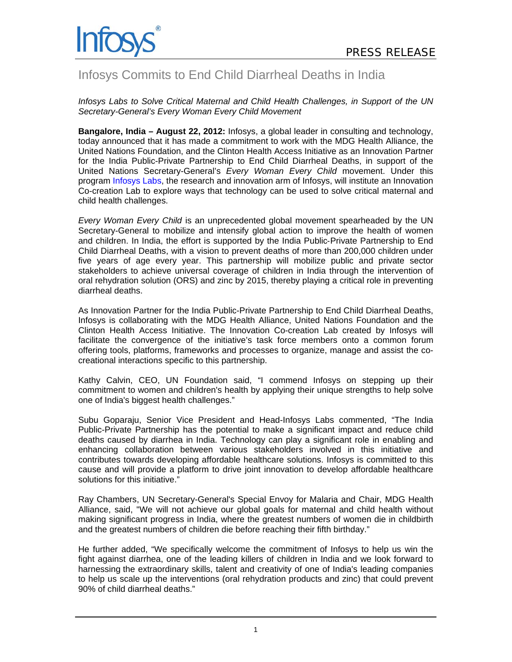

# Infosys Commits to End Child Diarrheal Deaths in India

*Infosys Labs to Solve Critical Maternal and Child Health Challenges, in Support of the UN Secretary-General's Every Woman Every Child Movement* 

**Bangalore, India – August 22, 2012:** Infosys, a global leader in consulting and technology, today announced that it has made a commitment to work with the MDG Health Alliance, the United Nations Foundation, and the Clinton Health Access Initiative as an Innovation Partner for the India Public-Private Partnership to End Child Diarrheal Deaths, in support of the United Nations Secretary-General's *Every Woman Every Child* movement. Under this program [Infosys Labs](http://www.infosys.com/infosys-labs/pages/index.aspx), the research and innovation arm of Infosys, will institute an Innovation Co-creation Lab to explore ways that technology can be used to solve critical maternal and child health challenges.

*Every Woman Every Child* is an unprecedented global movement spearheaded by the UN Secretary-General to mobilize and intensify global action to improve the health of women and children. In India, the effort is supported by the India Public‐Private Partnership to End Child Diarrheal Deaths, with a vision to prevent deaths of more than 200,000 children under five years of age every year. This partnership will mobilize public and private sector stakeholders to achieve universal coverage of children in India through the intervention of oral rehydration solution (ORS) and zinc by 2015, thereby playing a critical role in preventing diarrheal deaths.

As Innovation Partner for the India Public-Private Partnership to End Child Diarrheal Deaths, Infosys is collaborating with the MDG Health Alliance, United Nations Foundation and the Clinton Health Access Initiative. The Innovation Co-creation Lab created by Infosys will facilitate the convergence of the initiative's task force members onto a common forum offering tools, platforms, frameworks and processes to organize, manage and assist the cocreational interactions specific to this partnership.

Kathy Calvin, CEO, UN Foundation said, "I commend Infosys on stepping up their commitment to women and children's health by applying their unique strengths to help solve one of India's biggest health challenges."

Subu Goparaju, Senior Vice President and Head-Infosys Labs commented, "The India Public-Private Partnership has the potential to make a significant impact and reduce child deaths caused by diarrhea in India. Technology can play a significant role in enabling and enhancing collaboration between various stakeholders involved in this initiative and contributes towards developing affordable healthcare solutions. Infosys is committed to this cause and will provide a platform to drive joint innovation to develop affordable healthcare solutions for this initiative."

Ray Chambers, UN Secretary-General's Special Envoy for Malaria and Chair, MDG Health Alliance, said, "We will not achieve our global goals for maternal and child health without making significant progress in India, where the greatest numbers of women die in childbirth and the greatest numbers of children die before reaching their fifth birthday."

He further added, "We specifically welcome the commitment of Infosys to help us win the fight against diarrhea, one of the leading killers of children in India and we look forward to harnessing the extraordinary skills, talent and creativity of one of India's leading companies to help us scale up the interventions (oral rehydration products and zinc) that could prevent 90% of child diarrheal deaths."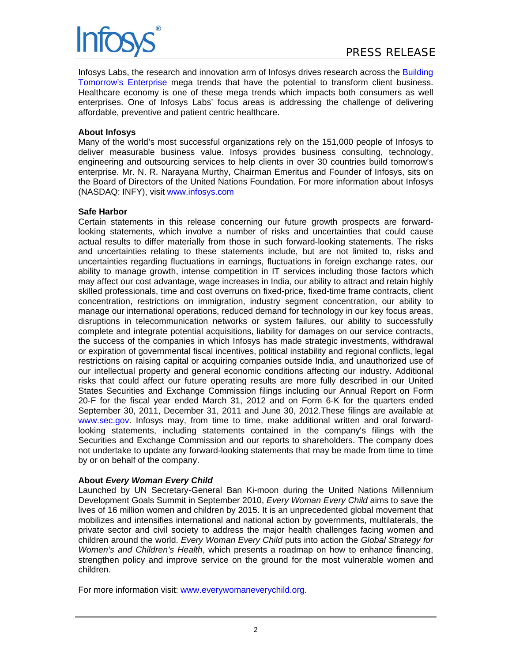

Infosys Labs, the research and innovation arm of Infosys drives research across the [Building](http://www.infosys.com/building-tomorrows-enterprise/pages/index.aspx)  [Tomorrow's Enterprise](http://www.infosys.com/building-tomorrows-enterprise/pages/index.aspx) mega trends that have the potential to transform client business. Healthcare economy is one of these mega trends which impacts both consumers as well enterprises. One of Infosys Labs' focus areas is addressing the challenge of delivering affordable, preventive and patient centric healthcare.

## **About Infosys**

Many of the world's most successful organizations rely on the 151,000 people of Infosys to deliver measurable business value. Infosys provides business consulting, technology, engineering and outsourcing services to help clients in over 30 countries build tomorrow's enterprise. Mr. N. R. Narayana Murthy, Chairman Emeritus and Founder of Infosys, sits on the Board of Directors of the United Nations Foundation. For more information about Infosys (NASDAQ: INFY), visit www.infosys.com

#### **Safe Harbor**

Certain statements in this release concerning our future growth prospects are forwardlooking statements, which involve a number of risks and uncertainties that could cause actual results to differ materially from those in such forward-looking statements. The risks and uncertainties relating to these statements include, but are not limited to, risks and uncertainties regarding fluctuations in earnings, fluctuations in foreign exchange rates, our ability to manage growth, intense competition in IT services including those factors which may affect our cost advantage, wage increases in India, our ability to attract and retain highly skilled professionals, time and cost overruns on fixed-price, fixed-time frame contracts, client concentration, restrictions on immigration, industry segment concentration, our ability to manage our international operations, reduced demand for technology in our key focus areas, disruptions in telecommunication networks or system failures, our ability to successfully complete and integrate potential acquisitions, liability for damages on our service contracts, the success of the companies in which Infosys has made strategic investments, withdrawal or expiration of governmental fiscal incentives, political instability and regional conflicts, legal restrictions on raising capital or acquiring companies outside India, and unauthorized use of our intellectual property and general economic conditions affecting our industry. Additional risks that could affect our future operating results are more fully described in our United States Securities and Exchange Commission filings including our Annual Report on Form 20-F for the fiscal year ended March 31, 2012 and on Form 6-K for the quarters ended September 30, 2011, December 31, 2011 and June 30, 2012.These filings are available at www.sec.gov. Infosys may, from time to time, make additional written and oral forwardlooking statements, including statements contained in the company's filings with the Securities and Exchange Commission and our reports to shareholders. The company does not undertake to update any forward-looking statements that may be made from time to time by or on behalf of the company.

## **About** *Every Woman Every Child*

Launched by UN Secretary-General Ban Ki-moon during the United Nations Millennium Development Goals Summit in September 2010, *Every Woman Every Child* aims to save the lives of 16 million women and children by 2015. It is an unprecedented global movement that mobilizes and intensifies international and national action by governments, multilaterals, the private sector and civil society to address the major health challenges facing women and children around the world. *Every Woman Every Child* puts into action the *Global Strategy for Women's and Children's Health*, which presents a roadmap on how to enhance financing, strengthen policy and improve service on the ground for the most vulnerable women and children.

For more information visit: www.everywomaneverychild.org.